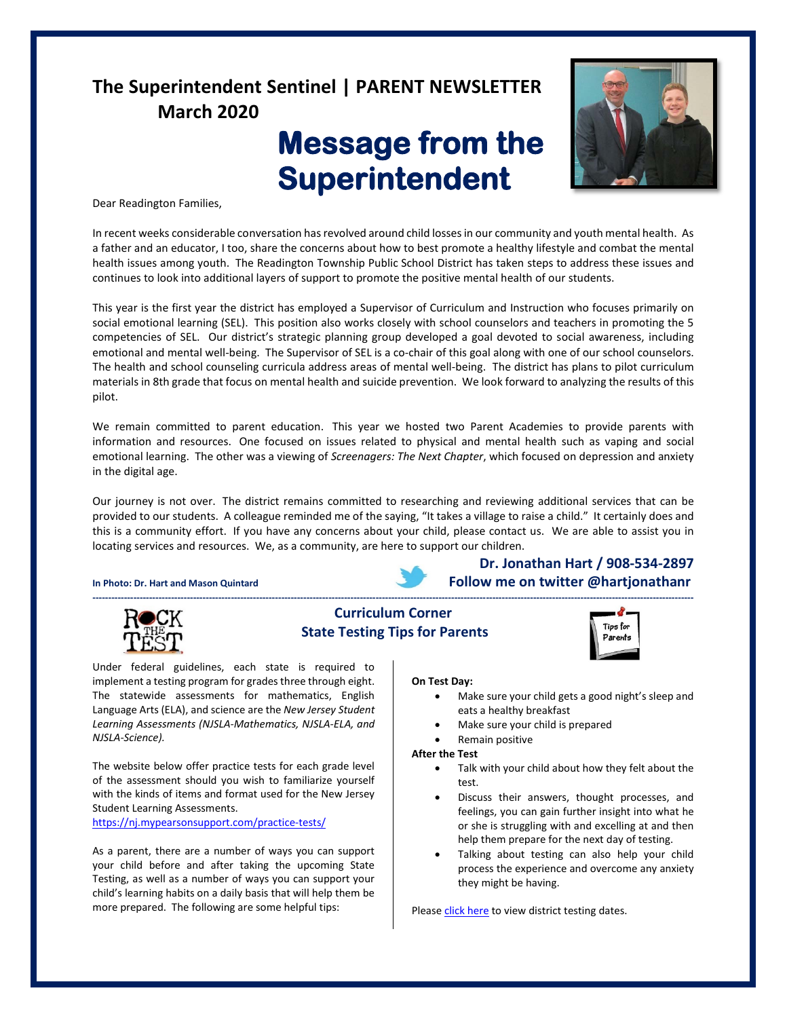# **The Superintendent Sentinel | PARENT NEWSLETTER March 2020**

# **Message from the Superintendent**



Dear Readington Families,

In recent weeks considerable conversation has revolved around child losses in our community and youth mental health. As a father and an educator, I too, share the concerns about how to best promote a healthy lifestyle and combat the mental health issues among youth. The Readington Township Public School District has taken steps to address these issues and continues to look into additional layers of support to promote the positive mental health of our students.

This year is the first year the district has employed a Supervisor of Curriculum and Instruction who focuses primarily on social emotional learning (SEL). This position also works closely with school counselors and teachers in promoting the 5 competencies of SEL. Our district's strategic planning group developed a goal devoted to social awareness, including emotional and mental well-being. The Supervisor of SEL is a co-chair of this goal along with one of our school counselors. The health and school counseling curricula address areas of mental well-being. The district has plans to pilot curriculum materials in 8th grade that focus on mental health and suicide prevention. We look forward to analyzing the results of this pilot.

We remain committed to parent education. This year we hosted two Parent Academies to provide parents with information and resources. One focused on issues related to physical and mental health such as vaping and social emotional learning. The other was a viewing of *Screenagers: The Next Chapter*, which focused on depression and anxiety in the digital age.

Our journey is not over. The district remains committed to researching and reviewing additional services that can be provided to our students. A colleague reminded me of the saying, "It takes a village to raise a child." It certainly does and this is a community effort. If you have any concerns about your child, please contact us. We are able to assist you in locating services and resources. We, as a community, are here to support our children.

#### In Photo: Dr. Hart and Mason Quintard **Example 2008** Follow me on twitter @hartjonathanr

Under federal guidelines, each state is required to implement a testing program for grades three through eight. The statewide assessments for mathematics, English Language Arts (ELA), and science are the *New Jersey Student Learning Assessments (NJSLA-Mathematics, NJSLA-ELA, and* 

The website below offer practice tests for each grade level of the assessment should you wish to familiarize yourself with the kinds of items and format used for the New Jersey

As a parent, there are a number of ways you can support your child before and after taking the upcoming State Testing, as well as a number of ways you can support your child's learning habits on a daily basis that will help them be more prepared. The following are some helpful tips:

<https://nj.mypearsonsupport.com/practice-tests/>



Student Learning Assessments.

*NJSLA-Science).* 

## **Curriculum Corner State Testing Tips for Parents**



**Dr. Jonathan Hart / 908-534-2897**

**On Test Day:**

- Make sure your child gets a good night's sleep and eats a healthy breakfast
- Make sure your child is prepared
- Remain positive

#### **After the Test**

- Talk with your child about how they felt about the test.
- Discuss their answers, thought processes, and feelings, you can gain further insight into what he or she is struggling with and excelling at and then help them prepare for the next day of testing.
- Talking about testing can also help your child process the experience and overcome any anxiety they might be having.

Please [click here](https://www.readington.k12.nj.us/cms/lib/NJ01000244/Centricity/Domain/17/NJSLA%20Parent%20Letter%202020-Science%20UPDATE.pdf) to view district testing dates.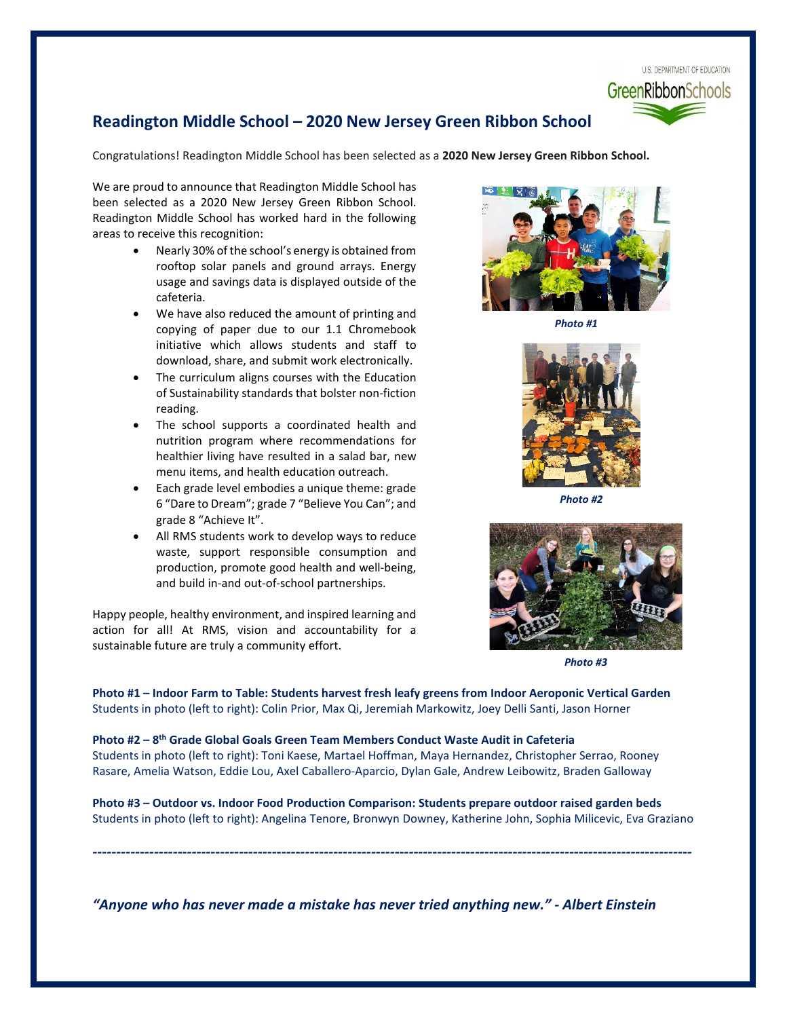

# **Readington Middle School – 2020 New Jersey Green Ribbon School**

Congratulations! Readington Middle School has been selected as a **2020 New Jersey Green Ribbon School.**

We are proud to announce that Readington Middle School has been selected as a 2020 New Jersey Green Ribbon School. Readington Middle School has worked hard in the following areas to receive this recognition:

- Nearly 30% of the school's energy is obtained from rooftop solar panels and ground arrays. Energy usage and savings data is displayed outside of the cafeteria.
- We have also reduced the amount of printing and copying of paper due to our 1.1 Chromebook initiative which allows students and staff to download, share, and submit work electronically.
- The curriculum aligns courses with the Education of Sustainability standards that bolster non-fiction reading.
- The school supports a coordinated health and nutrition program where recommendations for healthier living have resulted in a salad bar, new menu items, and health education outreach.
- Each grade level embodies a unique theme: grade 6 "Dare to Dream"; grade 7 "Believe You Can"; and grade 8 "Achieve It".
- All RMS students work to develop ways to reduce waste, support responsible consumption and production, promote good health and well-being, and build in-and out-of-school partnerships.

Happy people, healthy environment, and inspired learning and action for all! At RMS, vision and accountability for a sustainable future are truly a community effort.



*Photo #1*



*Photo #2*



*Photo #3*

**Photo #1 – Indoor Farm to Table: Students harvest fresh leafy greens from Indoor Aeroponic Vertical Garden** Students in photo (left to right): Colin Prior, Max Qi, Jeremiah Markowitz, Joey Delli Santi, Jason Horner

**Photo #2 – 8th Grade Global Goals Green Team Members Conduct Waste Audit in Cafeteria** Students in photo (left to right): Toni Kaese, Martael Hoffman, Maya Hernandez, Christopher Serrao, Rooney Rasare, Amelia Watson, Eddie Lou, Axel Caballero-Aparcio, Dylan Gale, Andrew Leibowitz, Braden Galloway

**Photo #3 – Outdoor vs. Indoor Food Production Comparison: Students prepare outdoor raised garden beds**  Students in photo (left to right): Angelina Tenore, Bronwyn Downey, Katherine John, Sophia Milicevic, Eva Graziano

*-------------------------------------------------------------------------------------------------------------------------------*

*"Anyone who has never made a mistake has never tried anything new." - Albert Einstein*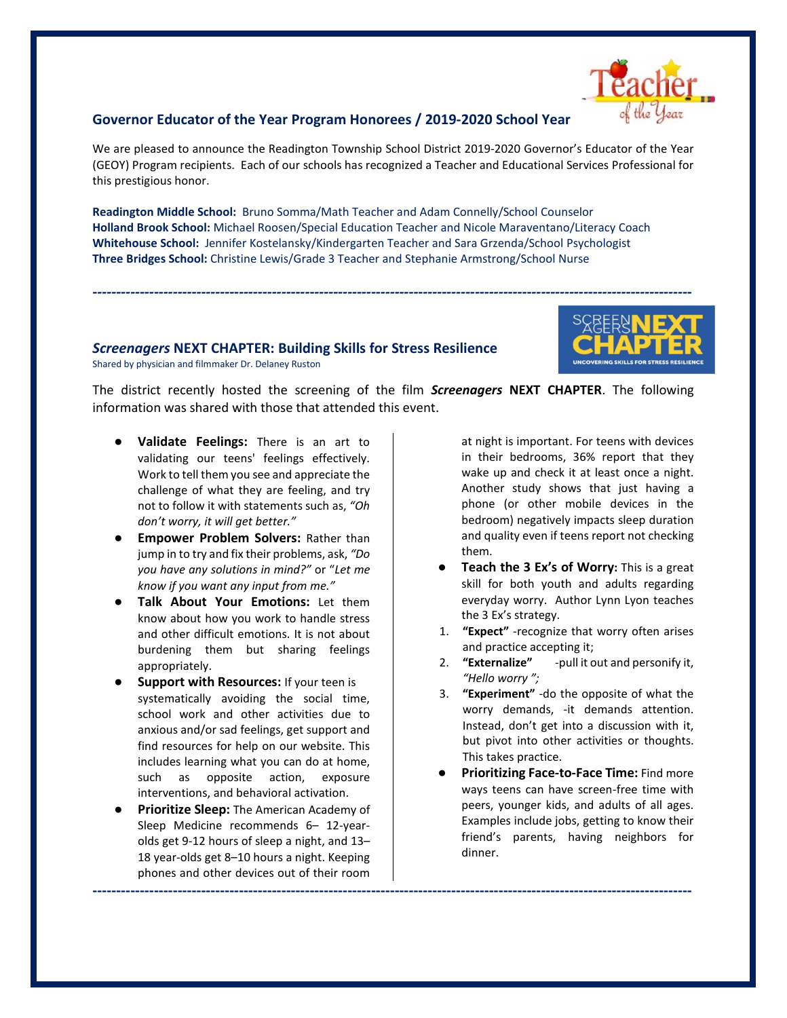#### **Governor Educator of the Year Program Honorees / 2019-2020 School Year**

We are pleased to announce the Readington Township School District 2019-2020 Governor's Educator of the Year (GEOY) Program recipients. Each of our schools has recognized a Teacher and Educational Services Professional for this prestigious honor.

**Readington Middle School:** Bruno Somma/Math Teacher and Adam Connelly/School Counselor **Holland Brook School:** Michael Roosen/Special Education Teacher and Nicole Maraventano/Literacy Coach **Whitehouse School:** Jennifer Kostelansky/Kindergarten Teacher and Sara Grzenda/School Psychologist **Three Bridges School:** Christine Lewis/Grade 3 Teacher and Stephanie Armstrong/School Nurse

*Screenagers* **NEXT CHAPTER: Building Skills for Stress Resilience** Shared by physician and filmmaker Dr. Delaney Ruston



The district recently hosted the screening of the film *Screenagers* **NEXT CHAPTER**. The following information was shared with those that attended this event.

**-------------------------------------------------------------------------------------------------------------------------------**

*-------------------------------------------------------------------------------------------------------------------------------*

- **Validate Feelings:** There is an art to validating our teens' feelings effectively. Work to tell them you see and appreciate the challenge of what they are feeling, and try not to follow it with statements such as, *"Oh don't worry, it will get better."*
- **Empower Problem Solvers: Rather than** jump in to try and fix their problems, ask, *"Do you have any solutions in mind?"* or "*Let me know if you want any input from me."*
- **Talk About Your Emotions:** Let them know about how you work to handle stress and other difficult emotions. It is not about burdening them but sharing feelings appropriately.
- **Support with Resources: If your teen is** systematically avoiding the social time, school work and other activities due to anxious and/or sad feelings, get support and find resources for help on our website. This includes learning what you can do at home, such as opposite action, exposure interventions, and behavioral activation.
- **Prioritize Sleep:** The American Academy of Sleep Medicine recommends 6– 12-yearolds get 9-12 hours of sleep a night, and 13– 18 year-olds get 8–10 hours a night. Keeping phones and other devices out of their room

at night is important. For teens with devices in their bedrooms, 36% report that they wake up and check it at least once a night. Another study shows that just having a phone (or other mobile devices in the bedroom) negatively impacts sleep duration and quality even if teens report not checking them.

- **Teach the 3 Ex's of Worry:** This is a great skill for both youth and adults regarding everyday worry. Author Lynn Lyon teaches the 3 Ex's strategy.
- 1. **"Expect"** -recognize that worry often arises and practice accepting it;
- 2. **"Externalize"** -pull it out and personify it, *"Hello worry ";*
- 3. **"Experiment"** -do the opposite of what the worry demands, -it demands attention. Instead, don't get into a discussion with it, but pivot into other activities or thoughts. This takes practice.
- **Prioritizing Face-to-Face Time: Find more** ways teens can have screen-free time with peers, younger kids, and adults of all ages. Examples include jobs, getting to know their friend's parents, having neighbors for dinner.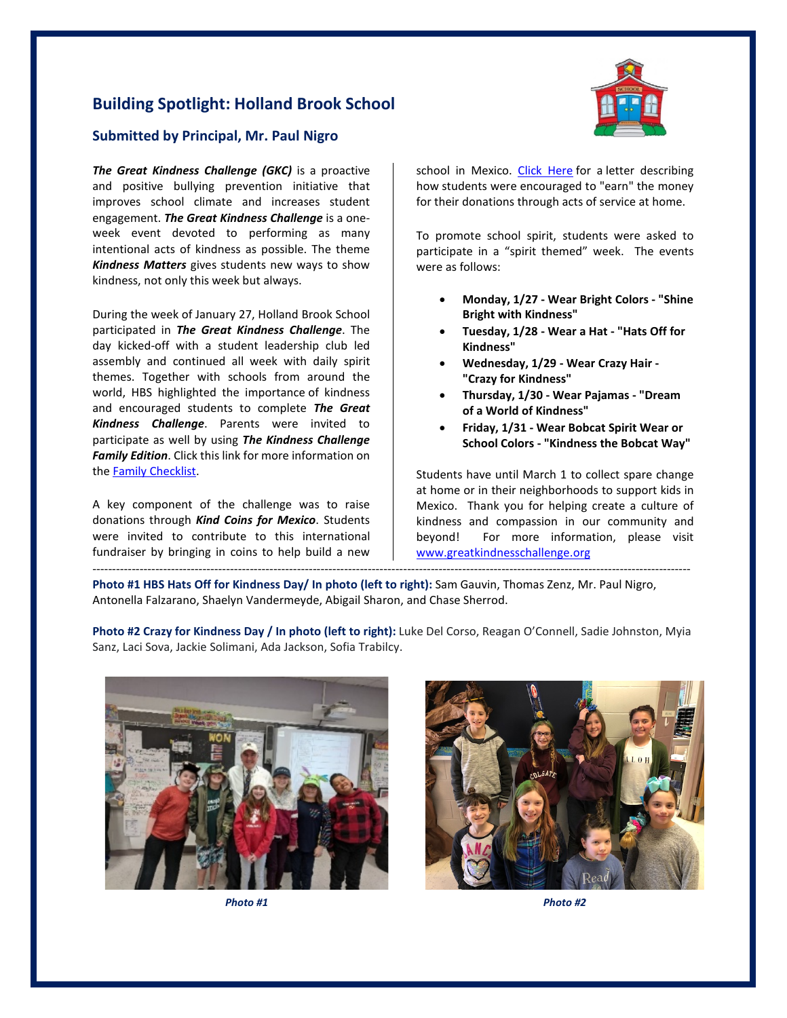# **Building Spotlight: Holland Brook School**



#### **Submitted by Principal, Mr. Paul Nigro**

**The Great Kindness Challenge (GKC)** is a proactive and positive bullying prevention initiative that improves school climate and increases student engagement. *The Great Kindness Challenge* is a oneweek event devoted to performing as many intentional acts of kindness as possible. The theme *Kindness Matters* gives students new ways to show kindness, not only this week but always.

During the week of January 27, Holland Brook School participated in *The Great Kindness Challenge*. The day kicked-off with a student leadership club led assembly and continued all week with daily spirit themes. Together with schools from around the world, HBS highlighted the importance of kindness and encouraged students to complete *The Great Kindness Challenge*. Parents were invited to participate as well by using *The Kindness Challenge Family Edition*. Click this link for more information on the [Family Checklist.](https://www.readington.k12.nj.us/cms/lib/NJ01000244/Centricity/Domain/240/Family%20Edition%20Checklist.pdf)

A key component of the challenge was to raise donations through *Kind Coins for Mexico*. Students were invited to contribute to this international fundraiser by bringing in coins to help build a new

school in Mexico. [Click Here](https://www.readington.k12.nj.us/cms/lib/NJ01000244/Centricity/Domain/240/Kind%20Coins%20for%20Mexico%20Parent%20Letter.pdf) for a letter describing how students were encouraged to "earn" the money for their donations through acts of service at home.

To promote school spirit, students were asked to participate in a "spirit themed" week. The events were as follows:

- **Monday, 1/27 - Wear Bright Colors - "Shine Bright with Kindness"**
- **Tuesday, 1/28 - Wear a Hat - "Hats Off for Kindness"**
- **Wednesday, 1/29 - Wear Crazy Hair - "Crazy for Kindness"**
- **Thursday, 1/30 - Wear Pajamas - "Dream of a World of Kindness"**
- **Friday, 1/31 - Wear Bobcat Spirit Wear or School Colors - "Kindness the Bobcat Way"**

Students have until March 1 to collect spare change at home or in their neighborhoods to support kids in Mexico. Thank you for helping create a culture of kindness and compassion in our community and beyond! For more information, please visit [www.greatkindnesschallenge.org](http://www.greatkindnesschallenge.org/)

**Photo #1 HBS Hats Off for Kindness Day/ In photo (left to right):** Sam Gauvin, Thomas Zenz, Mr. Paul Nigro, Antonella Falzarano, Shaelyn Vandermeyde, Abigail Sharon, and Chase Sherrod.

**Photo #2 Crazy for Kindness Day / In photo (left to right):** Luke Del Corso, Reagan O'Connell, Sadie Johnston, Myia Sanz, Laci Sova, Jackie Solimani, Ada Jackson, Sofia Trabilcy.

--------------------------------------------------------------------------------------------------------------------------------------------------------



*Photo #1 Photo #2*